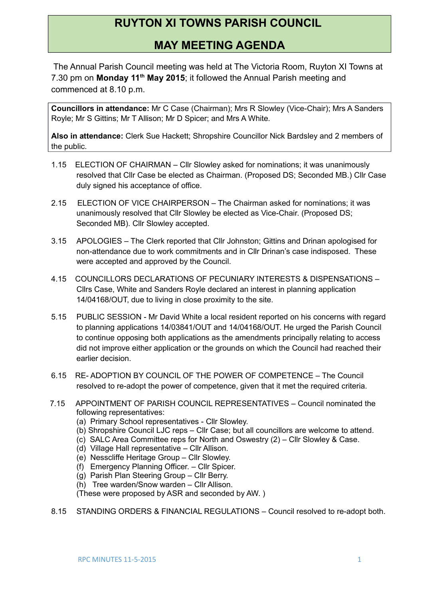## **RUYTON XI TOWNS PARISH COUNCIL**

## **MAY MEETING AGENDA**

 The Annual Parish Council meeting was held at The Victoria Room, Ruyton XI Towns at 7.30 pm on **Monday 11th May 2015**; it followed the Annual Parish meeting and commenced at 8.10 p.m.

**Councillors in attendance:** Mr C Case (Chairman); Mrs R Slowley (Vice-Chair); Mrs A Sanders Royle; Mr S Gittins; Mr T Allison; Mr D Spicer; and Mrs A White.

**Also in attendance:** Clerk Sue Hackett; Shropshire Councillor Nick Bardsley and 2 members of the public.

- 1.15 ELECTION OF CHAIRMAN Cllr Slowley asked for nominations; it was unanimously resolved that Cllr Case be elected as Chairman. (Proposed DS; Seconded MB.) Cllr Case duly signed his acceptance of office.
- 2.15 ELECTION OF VICE CHAIRPERSON The Chairman asked for nominations; it was unanimously resolved that Cllr Slowley be elected as Vice-Chair. (Proposed DS; Seconded MB). Cllr Slowley accepted.
- 3.15 APOLOGIES The Clerk reported that Cllr Johnston; Gittins and Drinan apologised for non-attendance due to work commitments and in Cllr Drinan's case indisposed. These were accepted and approved by the Council.
- 4.15 COUNCILLORS DECLARATIONS OF PECUNIARY INTERESTS & DISPENSATIONS Cllrs Case, White and Sanders Royle declared an interest in planning application 14/04168/OUT, due to living in close proximity to the site.
- 5.15 PUBLIC SESSION Mr David White a local resident reported on his concerns with regard to planning applications 14/03841/OUT and 14/04168/OUT. He urged the Parish Council to continue opposing both applications as the amendments principally relating to access did not improve either application or the grounds on which the Council had reached their earlier decision.
- 6.15 RE- ADOPTION BY COUNCIL OF THE POWER OF COMPETENCE The Council resolved to re-adopt the power of competence, given that it met the required criteria.
- 7.15 APPOINTMENT OF PARISH COUNCIL REPRESENTATIVES Council nominated the following representatives:
	- (a) Primary School representatives Cllr Slowley.
	- (b) Shropshire Council LJC reps Cllr Case; but all councillors are welcome to attend.
	- (c) SALC Area Committee reps for North and Oswestry (2) Cllr Slowley & Case.
	- (d) Village Hall representative Cllr Allison.
	- (e) Nesscliffe Heritage Group Cllr Slowley.
	- (f) Emergency Planning Officer. Cllr Spicer.
	- (g) Parish Plan Steering Group Cllr Berry.
	- (h) Tree warden/Snow warden Cllr Allison.

(These were proposed by ASR and seconded by AW. )

8.15 STANDING ORDERS & FINANCIAL REGULATIONS – Council resolved to re-adopt both.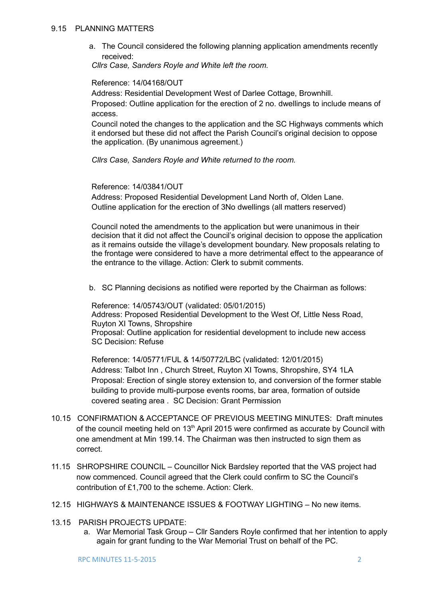a. The Council considered the following planning application amendments recently received:

*Cllrs Case, Sanders Royle and White left the room.*

Reference: 14/04168/OUT

Address: Residential Development West of Darlee Cottage, Brownhill.

Proposed: Outline application for the erection of 2 no. dwellings to include means of access.

Council noted the changes to the application and the SC Highways comments which it endorsed but these did not affect the Parish Council's original decision to oppose the application. (By unanimous agreement.)

*Cllrs Case, Sanders Royle and White returned to the room.*

Reference: 14/03841/OUT

Address: Proposed Residential Development Land North of, Olden Lane. Outline application for the erection of 3No dwellings (all matters reserved)

Council noted the amendments to the application but were unanimous in their decision that it did not affect the Council's original decision to oppose the application as it remains outside the village's development boundary. New proposals relating to the frontage were considered to have a more detrimental effect to the appearance of the entrance to the village. Action: Clerk to submit comments.

b. SC Planning decisions as notified were reported by the Chairman as follows:

Reference: 14/05743/OUT (validated: 05/01/2015) Address: Proposed Residential Development to the West Of, Little Ness Road, Ruyton XI Towns, Shropshire Proposal: Outline application for residential development to include new access SC Decision: Refuse

Reference: 14/05771/FUL & 14/50772/LBC (validated: 12/01/2015) Address: Talbot Inn , Church Street, Ruyton XI Towns, Shropshire, SY4 1LA Proposal: Erection of single storey extension to, and conversion of the former stable building to provide multi-purpose events rooms, bar area, formation of outside covered seating area . SC Decision: Grant Permission

- 10.15 CONFIRMATION & ACCEPTANCE OF PREVIOUS MEETING MINUTES: Draft minutes of the council meeting held on  $13<sup>th</sup>$  April 2015 were confirmed as accurate by Council with one amendment at Min 199.14. The Chairman was then instructed to sign them as correct.
- 11.15 SHROPSHIRE COUNCIL Councillor Nick Bardsley reported that the VAS project had now commenced. Council agreed that the Clerk could confirm to SC the Council's contribution of £1,700 to the scheme. Action: Clerk.
- 12.15 HIGHWAYS & MAINTENANCE ISSUES & FOOTWAY LIGHTING No new items.
- 13.15 PARISH PROJECTS UPDATE:
	- a. War Memorial Task Group Cllr Sanders Royle confirmed that her intention to apply again for grant funding to the War Memorial Trust on behalf of the PC.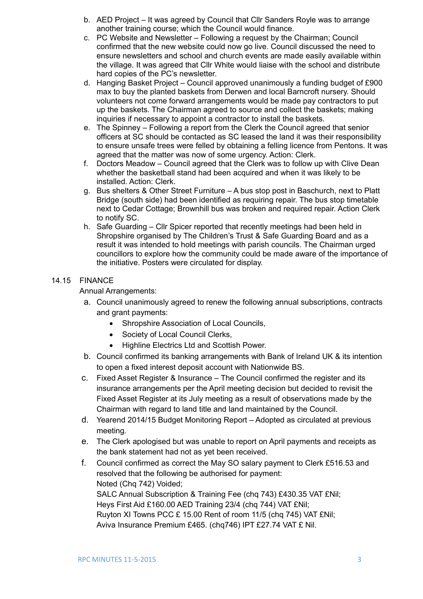- b. AED Project It was agreed by Council that Cllr Sanders Royle was to arrange another training course; which the Council would finance.
- c. PC Website and Newsletter Following a request by the Chairman; Council confirmed that the new website could now go live. Council discussed the need to ensure newsletters and school and church events are made easily available within the village. It was agreed that Cllr White would liaise with the school and distribute hard copies of the PC's newsletter.
- d. Hanging Basket Project Council approved unanimously a funding budget of £900 max to buy the planted baskets from Derwen and local Barncroft nursery. Should volunteers not come forward arrangements would be made pay contractors to put up the baskets. The Chairman agreed to source and collect the baskets; making inquiries if necessary to appoint a contractor to install the baskets.
- e. The Spinney Following a report from the Clerk the Council agreed that senior officers at SC should be contacted as SC leased the land it was their responsibility to ensure unsafe trees were felled by obtaining a felling licence from Pentons. It was agreed that the matter was now of some urgency. Action: Clerk.
- f. Doctors Meadow Council agreed that the Clerk was to follow up with Clive Dean whether the basketball stand had been acquired and when it was likely to be installed. Action: Clerk.
- g. Bus shelters & Other Street Furniture A bus stop post in Baschurch, next to Platt Bridge (south side) had been identified as requiring repair. The bus stop timetable next to Cedar Cottage; Brownhill bus was broken and required repair. Action Clerk to notify SC.
- h. Safe Guarding Cllr Spicer reported that recently meetings had been held in Shropshire organised by The Children's Trust & Safe Guarding Board and as a result it was intended to hold meetings with parish councils. The Chairman urged councillors to explore how the community could be made aware of the importance of the initiative. Posters were circulated for display.

## 14.15 FINANCE

Annual Arrangements:

- a. Council unanimously agreed to renew the following annual subscriptions, contracts and grant payments:
	- Shropshire Association of Local Councils.
	- Society of Local Council Clerks,
	- Highline Electrics Ltd and Scottish Power.
- b. Council confirmed its banking arrangements with Bank of Ireland UK & its intention to open a fixed interest deposit account with Nationwide BS.
- c. Fixed Asset Register & Insurance The Council confirmed the register and its insurance arrangements per the April meeting decision but decided to revisit the Fixed Asset Register at its July meeting as a result of observations made by the Chairman with regard to land title and land maintained by the Council.
- d. Yearend 2014/15 Budget Monitoring Report Adopted as circulated at previous meeting.
- e. The Clerk apologised but was unable to report on April payments and receipts as the bank statement had not as yet been received.
- f. Council confirmed as correct the May SO salary payment to Clerk £516.53 and resolved that the following be authorised for payment: Noted (Chq 742) Voided; SALC Annual Subscription & Training Fee (chq 743) £430.35 VAT £Nil; Heys First Aid £160.00 AED Training 23/4 (chq 744) VAT £Nil; Ruyton XI Towns PCC £ 15.00 Rent of room 11/5 (chq 745) VAT £Nil; Aviva Insurance Premium £465. (chq746) IPT £27.74 VAT £ Nil.